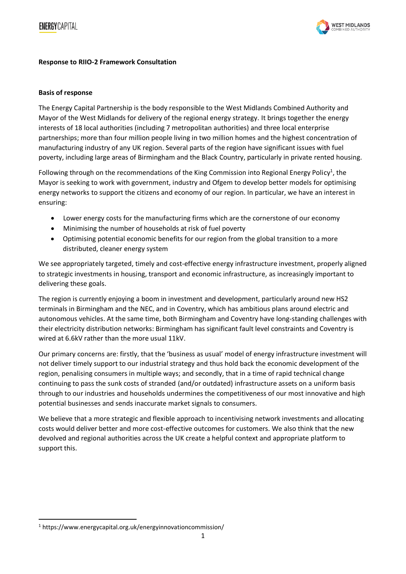

## **Response to RIIO-2 Framework Consultation**

#### **Basis of response**

The Energy Capital Partnership is the body responsible to the West Midlands Combined Authority and Mayor of the West Midlands for delivery of the regional energy strategy. It brings together the energy interests of 18 local authorities (including 7 metropolitan authorities) and three local enterprise partnerships; more than four million people living in two million homes and the highest concentration of manufacturing industry of any UK region. Several parts of the region have significant issues with fuel poverty, including large areas of Birmingham and the Black Country, particularly in private rented housing.

Following through on the recommendations of the King Commission into Regional Energy Policy<sup>1</sup>, the Mayor is seeking to work with government, industry and Ofgem to develop better models for optimising energy networks to support the citizens and economy of our region. In particular, we have an interest in ensuring:

- Lower energy costs for the manufacturing firms which are the cornerstone of our economy
- Minimising the number of households at risk of fuel poverty
- Optimising potential economic benefits for our region from the global transition to a more distributed, cleaner energy system

We see appropriately targeted, timely and cost-effective energy infrastructure investment, properly aligned to strategic investments in housing, transport and economic infrastructure, as increasingly important to delivering these goals.

The region is currently enjoying a boom in investment and development, particularly around new HS2 terminals in Birmingham and the NEC, and in Coventry, which has ambitious plans around electric and autonomous vehicles. At the same time, both Birmingham and Coventry have long-standing challenges with their electricity distribution networks: Birmingham has significant fault level constraints and Coventry is wired at 6.6kV rather than the more usual 11kV.

Our primary concerns are: firstly, that the 'business as usual' model of energy infrastructure investment will not deliver timely support to our industrial strategy and thus hold back the economic development of the region, penalising consumers in multiple ways; and secondly, that in a time of rapid technical change continuing to pass the sunk costs of stranded (and/or outdated) infrastructure assets on a uniform basis through to our industries and households undermines the competitiveness of our most innovative and high potential businesses and sends inaccurate market signals to consumers.

We believe that a more strategic and flexible approach to incentivising network investments and allocating costs would deliver better and more cost-effective outcomes for customers. We also think that the new devolved and regional authorities across the UK create a helpful context and appropriate platform to support this.

.

<sup>1</sup> https://www.energycapital.org.uk/energyinnovationcommission/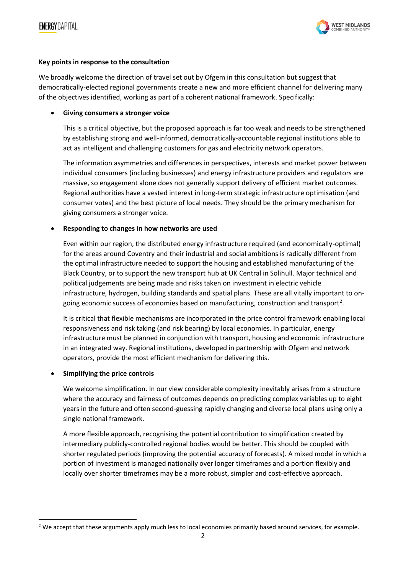

## **Key points in response to the consultation**

We broadly welcome the direction of travel set out by Ofgem in this consultation but suggest that democratically-elected regional governments create a new and more efficient channel for delivering many of the objectives identified, working as part of a coherent national framework. Specifically:

# • **Giving consumers a stronger voice**

This is a critical objective, but the proposed approach is far too weak and needs to be strengthened by establishing strong and well-informed, democratically-accountable regional institutions able to act as intelligent and challenging customers for gas and electricity network operators.

The information asymmetries and differences in perspectives, interests and market power between individual consumers (including businesses) and energy infrastructure providers and regulators are massive, so engagement alone does not generally support delivery of efficient market outcomes. Regional authorities have a vested interest in long-term strategic infrastructure optimisation (and consumer votes) and the best picture of local needs. They should be the primary mechanism for giving consumers a stronger voice.

#### • **Responding to changes in how networks are used**

Even within our region, the distributed energy infrastructure required (and economically-optimal) for the areas around Coventry and their industrial and social ambitions is radically different from the optimal infrastructure needed to support the housing and established manufacturing of the Black Country, or to support the new transport hub at UK Central in Solihull. Major technical and political judgements are being made and risks taken on investment in electric vehicle infrastructure, hydrogen, building standards and spatial plans. These are all vitally important to ongoing economic success of economies based on manufacturing, construction and transport<sup>2</sup>.

It is critical that flexible mechanisms are incorporated in the price control framework enabling local responsiveness and risk taking (and risk bearing) by local economies. In particular, energy infrastructure must be planned in conjunction with transport, housing and economic infrastructure in an integrated way. Regional institutions, developed in partnership with Ofgem and network operators, provide the most efficient mechanism for delivering this.

# • **Simplifying the price controls**

.

We welcome simplification. In our view considerable complexity inevitably arises from a structure where the accuracy and fairness of outcomes depends on predicting complex variables up to eight years in the future and often second-guessing rapidly changing and diverse local plans using only a single national framework.

A more flexible approach, recognising the potential contribution to simplification created by intermediary publicly-controlled regional bodies would be better. This should be coupled with shorter regulated periods (improving the potential accuracy of forecasts). A mixed model in which a portion of investment is managed nationally over longer timeframes and a portion flexibly and locally over shorter timeframes may be a more robust, simpler and cost-effective approach.

<sup>&</sup>lt;sup>2</sup> We accept that these arguments apply much less to local economies primarily based around services, for example.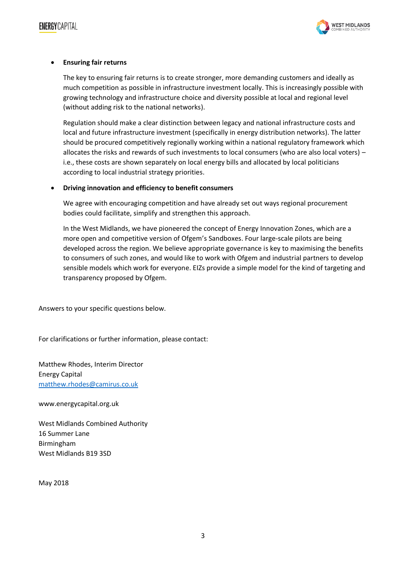

#### • **Ensuring fair returns**

The key to ensuring fair returns is to create stronger, more demanding customers and ideally as much competition as possible in infrastructure investment locally. This is increasingly possible with growing technology and infrastructure choice and diversity possible at local and regional level (without adding risk to the national networks).

Regulation should make a clear distinction between legacy and national infrastructure costs and local and future infrastructure investment (specifically in energy distribution networks). The latter should be procured competitively regionally working within a national regulatory framework which allocates the risks and rewards of such investments to local consumers (who are also local voters) – i.e., these costs are shown separately on local energy bills and allocated by local politicians according to local industrial strategy priorities.

#### • **Driving innovation and efficiency to benefit consumers**

We agree with encouraging competition and have already set out ways regional procurement bodies could facilitate, simplify and strengthen this approach.

In the West Midlands, we have pioneered the concept of Energy Innovation Zones, which are a more open and competitive version of Ofgem's Sandboxes. Four large-scale pilots are being developed across the region. We believe appropriate governance is key to maximising the benefits to consumers of such zones, and would like to work with Ofgem and industrial partners to develop sensible models which work for everyone. EIZs provide a simple model for the kind of targeting and transparency proposed by Ofgem.

Answers to your specific questions below.

For clarifications or further information, please contact:

Matthew Rhodes, Interim Director Energy Capital [matthew.rhodes@camirus.co.uk](mailto:matthew.rhodes@camirus.co.uk)

www.energycapital.org.uk

West Midlands Combined Authority 16 Summer Lane Birmingham West Midlands B19 3SD

May 2018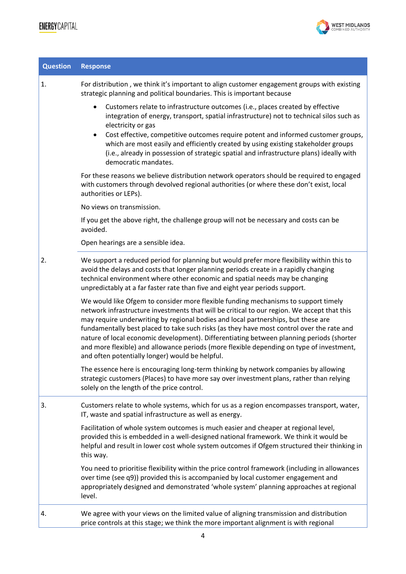

| <b>Question</b> | <b>Response</b>                                                                                                                                                                                                                                                                                                                                                                                                                                                                                                                                                                                                |
|-----------------|----------------------------------------------------------------------------------------------------------------------------------------------------------------------------------------------------------------------------------------------------------------------------------------------------------------------------------------------------------------------------------------------------------------------------------------------------------------------------------------------------------------------------------------------------------------------------------------------------------------|
| 1.              | For distribution, we think it's important to align customer engagement groups with existing<br>strategic planning and political boundaries. This is important because                                                                                                                                                                                                                                                                                                                                                                                                                                          |
|                 | Customers relate to infrastructure outcomes (i.e., places created by effective<br>$\bullet$<br>integration of energy, transport, spatial infrastructure) not to technical silos such as<br>electricity or gas<br>Cost effective, competitive outcomes require potent and informed customer groups,<br>which are most easily and efficiently created by using existing stakeholder groups<br>(i.e., already in possession of strategic spatial and infrastructure plans) ideally with<br>democratic mandates.                                                                                                   |
|                 | For these reasons we believe distribution network operators should be required to engaged<br>with customers through devolved regional authorities (or where these don't exist, local<br>authorities or LEPs).                                                                                                                                                                                                                                                                                                                                                                                                  |
|                 | No views on transmission.                                                                                                                                                                                                                                                                                                                                                                                                                                                                                                                                                                                      |
|                 | If you get the above right, the challenge group will not be necessary and costs can be<br>avoided.                                                                                                                                                                                                                                                                                                                                                                                                                                                                                                             |
|                 | Open hearings are a sensible idea.                                                                                                                                                                                                                                                                                                                                                                                                                                                                                                                                                                             |
| 2.              | We support a reduced period for planning but would prefer more flexibility within this to<br>avoid the delays and costs that longer planning periods create in a rapidly changing<br>technical environment where other economic and spatial needs may be changing<br>unpredictably at a far faster rate than five and eight year periods support.                                                                                                                                                                                                                                                              |
|                 | We would like Ofgem to consider more flexible funding mechanisms to support timely<br>network infrastructure investments that will be critical to our region. We accept that this<br>may require underwriting by regional bodies and local partnerships, but these are<br>fundamentally best placed to take such risks (as they have most control over the rate and<br>nature of local economic development). Differentiating between planning periods (shorter<br>and more flexible) and allowance periods (more flexible depending on type of investment,<br>and often potentially longer) would be helpful. |
|                 | The essence here is encouraging long-term thinking by network companies by allowing<br>strategic customers (Places) to have more say over investment plans, rather than relying<br>solely on the length of the price control.                                                                                                                                                                                                                                                                                                                                                                                  |
| 3.              | Customers relate to whole systems, which for us as a region encompasses transport, water,<br>IT, waste and spatial infrastructure as well as energy.                                                                                                                                                                                                                                                                                                                                                                                                                                                           |
|                 | Facilitation of whole system outcomes is much easier and cheaper at regional level,<br>provided this is embedded in a well-designed national framework. We think it would be<br>helpful and result in lower cost whole system outcomes if Ofgem structured their thinking in<br>this way.                                                                                                                                                                                                                                                                                                                      |
|                 | You need to prioritise flexibility within the price control framework (including in allowances<br>over time (see q9)) provided this is accompanied by local customer engagement and<br>appropriately designed and demonstrated 'whole system' planning approaches at regional<br>level.                                                                                                                                                                                                                                                                                                                        |
| 4.              | We agree with your views on the limited value of aligning transmission and distribution<br>price controls at this stage; we think the more important alignment is with regional                                                                                                                                                                                                                                                                                                                                                                                                                                |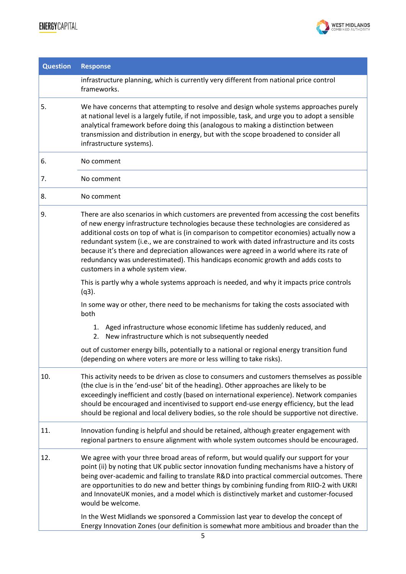# **ENERGY** CAPITAL



| <b>Question</b> | <b>Response</b>                                                                                                                                                                                                                                                                                                                                                                                                                                                                                                                                                                                     |
|-----------------|-----------------------------------------------------------------------------------------------------------------------------------------------------------------------------------------------------------------------------------------------------------------------------------------------------------------------------------------------------------------------------------------------------------------------------------------------------------------------------------------------------------------------------------------------------------------------------------------------------|
|                 | infrastructure planning, which is currently very different from national price control<br>frameworks.                                                                                                                                                                                                                                                                                                                                                                                                                                                                                               |
| 5.              | We have concerns that attempting to resolve and design whole systems approaches purely<br>at national level is a largely futile, if not impossible, task, and urge you to adopt a sensible<br>analytical framework before doing this (analogous to making a distinction between<br>transmission and distribution in energy, but with the scope broadened to consider all<br>infrastructure systems).                                                                                                                                                                                                |
| 6.              | No comment                                                                                                                                                                                                                                                                                                                                                                                                                                                                                                                                                                                          |
| 7.              | No comment                                                                                                                                                                                                                                                                                                                                                                                                                                                                                                                                                                                          |
| 8.              | No comment                                                                                                                                                                                                                                                                                                                                                                                                                                                                                                                                                                                          |
| 9.              | There are also scenarios in which customers are prevented from accessing the cost benefits<br>of new energy infrastructure technologies because these technologies are considered as<br>additional costs on top of what is (in comparison to competitor economies) actually now a<br>redundant system (i.e., we are constrained to work with dated infrastructure and its costs<br>because it's there and depreciation allowances were agreed in a world where its rate of<br>redundancy was underestimated). This handicaps economic growth and adds costs to<br>customers in a whole system view. |
|                 | This is partly why a whole systems approach is needed, and why it impacts price controls<br>$(q3)$ .                                                                                                                                                                                                                                                                                                                                                                                                                                                                                                |
|                 | In some way or other, there need to be mechanisms for taking the costs associated with<br>both                                                                                                                                                                                                                                                                                                                                                                                                                                                                                                      |
|                 | 1. Aged infrastructure whose economic lifetime has suddenly reduced, and<br>New infrastructure which is not subsequently needed<br>2.                                                                                                                                                                                                                                                                                                                                                                                                                                                               |
|                 | out of customer energy bills, potentially to a national or regional energy transition fund<br>(depending on where voters are more or less willing to take risks).                                                                                                                                                                                                                                                                                                                                                                                                                                   |
| 10.             | This activity needs to be driven as close to consumers and customers themselves as possible<br>(the clue is in the 'end-use' bit of the heading). Other approaches are likely to be<br>exceedingly inefficient and costly (based on international experience). Network companies<br>should be encouraged and incentivised to support end-use energy efficiency, but the lead<br>should be regional and local delivery bodies, so the role should be supportive not directive.                                                                                                                       |
| 11.             | Innovation funding is helpful and should be retained, although greater engagement with<br>regional partners to ensure alignment with whole system outcomes should be encouraged.                                                                                                                                                                                                                                                                                                                                                                                                                    |
| 12.             | We agree with your three broad areas of reform, but would qualify our support for your<br>point (ii) by noting that UK public sector innovation funding mechanisms have a history of<br>being over-academic and failing to translate R&D into practical commercial outcomes. There<br>are opportunities to do new and better things by combining funding from RIIO-2 with UKRI<br>and InnovateUK monies, and a model which is distinctively market and customer-focused<br>would be welcome.                                                                                                        |
|                 | In the West Midlands we sponsored a Commission last year to develop the concept of<br>Energy Innovation Zones (our definition is somewhat more ambitious and broader than the                                                                                                                                                                                                                                                                                                                                                                                                                       |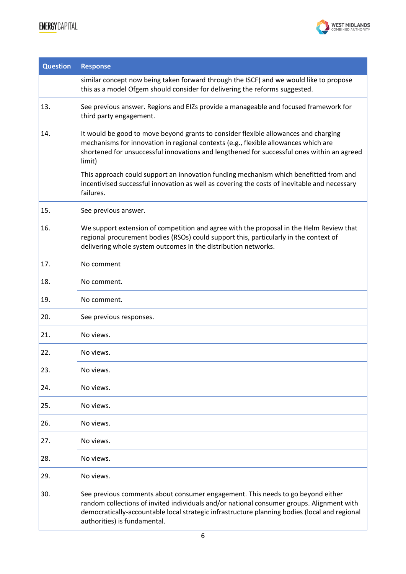

| <b>Question</b> | <b>Response</b>                                                                                                                                                                                                                                                                                               |
|-----------------|---------------------------------------------------------------------------------------------------------------------------------------------------------------------------------------------------------------------------------------------------------------------------------------------------------------|
|                 | similar concept now being taken forward through the ISCF) and we would like to propose<br>this as a model Ofgem should consider for delivering the reforms suggested.                                                                                                                                         |
| 13.             | See previous answer. Regions and EIZs provide a manageable and focused framework for<br>third party engagement.                                                                                                                                                                                               |
| 14.             | It would be good to move beyond grants to consider flexible allowances and charging<br>mechanisms for innovation in regional contexts (e.g., flexible allowances which are<br>shortened for unsuccessful innovations and lengthened for successful ones within an agreed<br>limit)                            |
|                 | This approach could support an innovation funding mechanism which benefitted from and<br>incentivised successful innovation as well as covering the costs of inevitable and necessary<br>failures.                                                                                                            |
| 15.             | See previous answer.                                                                                                                                                                                                                                                                                          |
| 16.             | We support extension of competition and agree with the proposal in the Helm Review that<br>regional procurement bodies (RSOs) could support this, particularly in the context of<br>delivering whole system outcomes in the distribution networks.                                                            |
| 17.             | No comment                                                                                                                                                                                                                                                                                                    |
| 18.             | No comment.                                                                                                                                                                                                                                                                                                   |
| 19.             | No comment.                                                                                                                                                                                                                                                                                                   |
| 20.             | See previous responses.                                                                                                                                                                                                                                                                                       |
| 21.             | No views.                                                                                                                                                                                                                                                                                                     |
| 22.             | No views.                                                                                                                                                                                                                                                                                                     |
| 23.             | No views.                                                                                                                                                                                                                                                                                                     |
| 24.             | No views.                                                                                                                                                                                                                                                                                                     |
| 25.             | No views.                                                                                                                                                                                                                                                                                                     |
| 26.             | No views.                                                                                                                                                                                                                                                                                                     |
| 27.             | No views.                                                                                                                                                                                                                                                                                                     |
| 28.             | No views.                                                                                                                                                                                                                                                                                                     |
| 29.             | No views.                                                                                                                                                                                                                                                                                                     |
| 30.             | See previous comments about consumer engagement. This needs to go beyond either<br>random collections of invited individuals and/or national consumer groups. Alignment with<br>democratically-accountable local strategic infrastructure planning bodies (local and regional<br>authorities) is fundamental. |